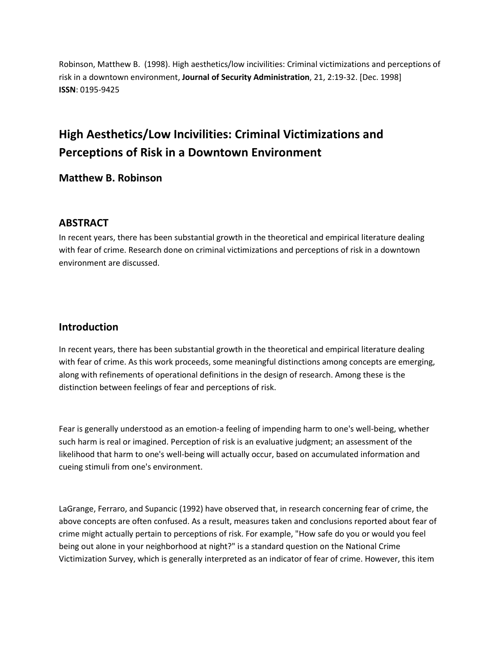Robinson, Matthew B. (1998). High aesthetics/low incivilities: Criminal victimizations and perceptions of risk in a downtown environment, **Journal of Security Administration**, 21, 2:19-32. [Dec. 1998] **ISSN**: 0195-9425

# **High Aesthetics/Low Incivilities: Criminal Victimizations and Perceptions of Risk in a Downtown Environment**

**Matthew B. Robinson**

### **ABSTRACT**

In recent years, there has been substantial growth in the theoretical and empirical literature dealing with fear of crime. Research done on criminal victimizations and perceptions of risk in a downtown environment are discussed.

## **Introduction**

In recent years, there has been substantial growth in the theoretical and empirical literature dealing with fear of crime. As this work proceeds, some meaningful distinctions among concepts are emerging, along with refinements of operational definitions in the design of research. Among these is the distinction between feelings of fear and perceptions of risk.

Fear is generally understood as an emotion-a feeling of impending harm to one's well-being, whether such harm is real or imagined. Perception of risk is an evaluative judgment; an assessment of the likelihood that harm to one's well-being will actually occur, based on accumulated information and cueing stimuli from one's environment.

LaGrange, Ferraro, and Supancic (1992) have observed that, in research concerning fear of crime, the above concepts are often confused. As a result, measures taken and conclusions reported about fear of crime might actually pertain to perceptions of risk. For example, "How safe do you or would you feel being out alone in your neighborhood at night?" is a standard question on the National Crime Victimization Survey, which is generally interpreted as an indicator of fear of crime. However, this item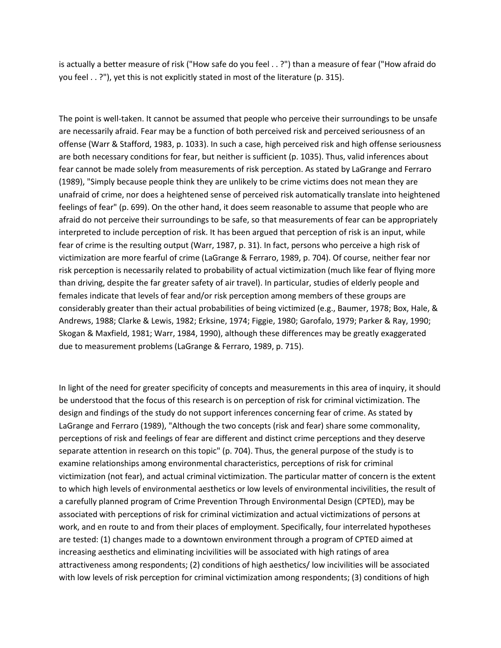is actually a better measure of risk ("How safe do you feel . . ?") than a measure of fear ("How afraid do you feel . . ?"), yet this is not explicitly stated in most of the literature (p. 315).

The point is well-taken. It cannot be assumed that people who perceive their surroundings to be unsafe are necessarily afraid. Fear may be a function of both perceived risk and perceived seriousness of an offense (Warr & Stafford, 1983, p. 1033). In such a case, high perceived risk and high offense seriousness are both necessary conditions for fear, but neither is sufficient (p. 1035). Thus, valid inferences about fear cannot be made solely from measurements of risk perception. As stated by LaGrange and Ferraro (1989), "Simply because people think they are unlikely to be crime victims does not mean they are unafraid of crime, nor does a heightened sense of perceived risk automatically translate into heightened feelings of fear" (p. 699). On the other hand, it does seem reasonable to assume that people who are afraid do not perceive their surroundings to be safe, so that measurements of fear can be appropriately interpreted to include perception of risk. It has been argued that perception of risk is an input, while fear of crime is the resulting output (Warr, 1987, p. 31). In fact, persons who perceive a high risk of victimization are more fearful of crime (LaGrange & Ferraro, 1989, p. 704). Of course, neither fear nor risk perception is necessarily related to probability of actual victimization (much like fear of flying more than driving, despite the far greater safety of air travel). In particular, studies of elderly people and females indicate that levels of fear and/or risk perception among members of these groups are considerably greater than their actual probabilities of being victimized (e.g., Baumer, 1978; Box, Hale, & Andrews, 1988; Clarke & Lewis, 1982; Erksine, 1974; Figgie, 1980; Garofalo, 1979; Parker & Ray, 1990; Skogan & Maxfield, 1981; Warr, 1984, 1990), although these differences may be greatly exaggerated due to measurement problems (LaGrange & Ferraro, 1989, p. 715).

In light of the need for greater specificity of concepts and measurements in this area of inquiry, it should be understood that the focus of this research is on perception of risk for criminal victimization. The design and findings of the study do not support inferences concerning fear of crime. As stated by LaGrange and Ferraro (1989), "Although the two concepts (risk and fear) share some commonality, perceptions of risk and feelings of fear are different and distinct crime perceptions and they deserve separate attention in research on this topic" (p. 704). Thus, the general purpose of the study is to examine relationships among environmental characteristics, perceptions of risk for criminal victimization (not fear), and actual criminal victimization. The particular matter of concern is the extent to which high levels of environmental aesthetics or low levels of environmental incivilities, the result of a carefully planned program of Crime Prevention Through Environmental Design (CPTED), may be associated with perceptions of risk for criminal victimization and actual victimizations of persons at work, and en route to and from their places of employment. Specifically, four interrelated hypotheses are tested: (1) changes made to a downtown environment through a program of CPTED aimed at increasing aesthetics and eliminating incivilities will be associated with high ratings of area attractiveness among respondents; (2) conditions of high aesthetics/ low incivilities will be associated with low levels of risk perception for criminal victimization among respondents; (3) conditions of high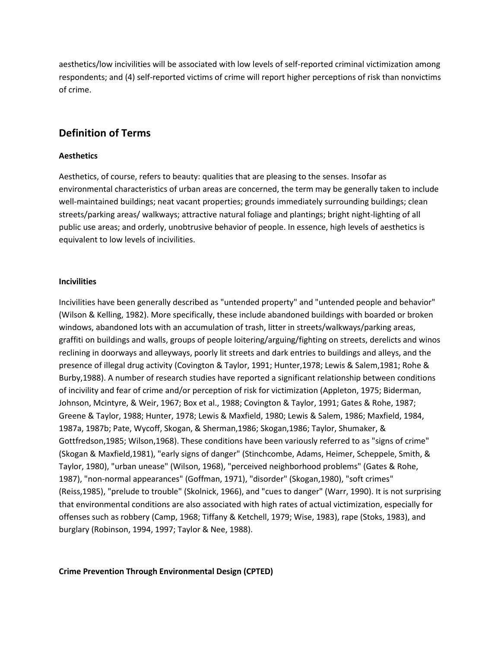aesthetics/low incivilities will be associated with low levels of self-reported criminal victimization among respondents; and (4) self-reported victims of crime will report higher perceptions of risk than nonvictims of crime.

### **Definition of Terms**

#### **Aesthetics**

Aesthetics, of course, refers to beauty: qualities that are pleasing to the senses. Insofar as environmental characteristics of urban areas are concerned, the term may be generally taken to include well-maintained buildings; neat vacant properties; grounds immediately surrounding buildings; clean streets/parking areas/ walkways; attractive natural foliage and plantings; bright night-lighting of all public use areas; and orderly, unobtrusive behavior of people. In essence, high levels of aesthetics is equivalent to low levels of incivilities.

#### **Incivilities**

Incivilities have been generally described as "untended property" and "untended people and behavior" (Wilson & Kelling, 1982). More specifically, these include abandoned buildings with boarded or broken windows, abandoned lots with an accumulation of trash, litter in streets/walkways/parking areas, graffiti on buildings and walls, groups of people loitering/arguing/fighting on streets, derelicts and winos reclining in doorways and alleyways, poorly lit streets and dark entries to buildings and alleys, and the presence of illegal drug activity (Covington & Taylor, 1991; Hunter,1978; Lewis & Salem,1981; Rohe & Burby,1988). A number of research studies have reported a significant relationship between conditions of incivility and fear of crime and/or perception of risk for victimization (Appleton, 1975; Biderman, Johnson, Mcintyre, & Weir, 1967; Box et al., 1988; Covington & Taylor, 1991; Gates & Rohe, 1987; Greene & Taylor, 1988; Hunter, 1978; Lewis & Maxfield, 1980; Lewis & Salem, 1986; Maxfield, 1984, 1987a, 1987b; Pate, Wycoff, Skogan, & Sherman,1986; Skogan,1986; Taylor, Shumaker, & Gottfredson,1985; Wilson,1968). These conditions have been variously referred to as "signs of crime" (Skogan & Maxfield,1981), "early signs of danger" (Stinchcombe, Adams, Heimer, Scheppele, Smith, & Taylor, 1980), "urban unease" (Wilson, 1968), "perceived neighborhood problems" (Gates & Rohe, 1987), "non-normal appearances" (Goffman, 1971), "disorder" (Skogan,1980), "soft crimes" (Reiss,1985), "prelude to trouble" (Skolnick, 1966), and "cues to danger" (Warr, 1990). It is not surprising that environmental conditions are also associated with high rates of actual victimization, especially for offenses such as robbery (Camp, 1968; Tiffany & Ketchell, 1979; Wise, 1983), rape (Stoks, 1983), and burglary (Robinson, 1994, 1997; Taylor & Nee, 1988).

#### **Crime Prevention Through Environmental Design (CPTED)**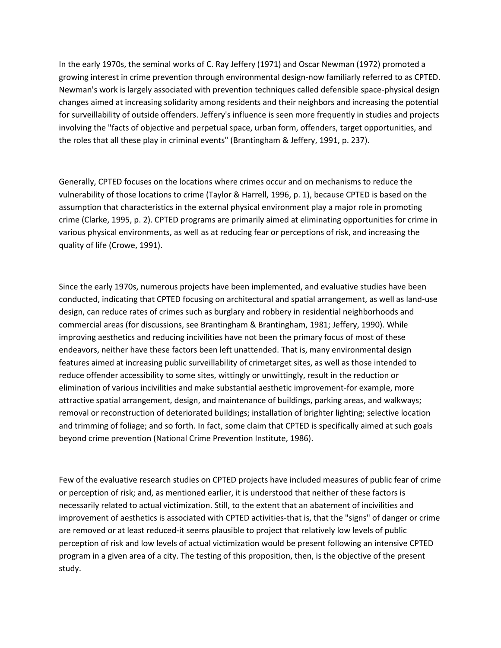In the early 1970s, the seminal works of C. Ray Jeffery (1971) and Oscar Newman (1972) promoted a growing interest in crime prevention through environmental design-now familiarly referred to as CPTED. Newman's work is largely associated with prevention techniques called defensible space-physical design changes aimed at increasing solidarity among residents and their neighbors and increasing the potential for surveillability of outside offenders. Jeffery's influence is seen more frequently in studies and projects involving the "facts of objective and perpetual space, urban form, offenders, target opportunities, and the roles that all these play in criminal events" (Brantingham & Jeffery, 1991, p. 237).

Generally, CPTED focuses on the locations where crimes occur and on mechanisms to reduce the vulnerability of those locations to crime (Taylor & Harrell, 1996, p. 1), because CPTED is based on the assumption that characteristics in the external physical environment play a major role in promoting crime (Clarke, 1995, p. 2). CPTED programs are primarily aimed at eliminating opportunities for crime in various physical environments, as well as at reducing fear or perceptions of risk, and increasing the quality of life (Crowe, 1991).

Since the early 1970s, numerous projects have been implemented, and evaluative studies have been conducted, indicating that CPTED focusing on architectural and spatial arrangement, as well as land-use design, can reduce rates of crimes such as burglary and robbery in residential neighborhoods and commercial areas (for discussions, see Brantingham & Brantingham, 1981; Jeffery, 1990). While improving aesthetics and reducing incivilities have not been the primary focus of most of these endeavors, neither have these factors been left unattended. That is, many environmental design features aimed at increasing public surveillability of crimetarget sites, as well as those intended to reduce offender accessibility to some sites, wittingly or unwittingly, result in the reduction or elimination of various incivilities and make substantial aesthetic improvement-for example, more attractive spatial arrangement, design, and maintenance of buildings, parking areas, and walkways; removal or reconstruction of deteriorated buildings; installation of brighter lighting; selective location and trimming of foliage; and so forth. In fact, some claim that CPTED is specifically aimed at such goals beyond crime prevention (National Crime Prevention Institute, 1986).

Few of the evaluative research studies on CPTED projects have included measures of public fear of crime or perception of risk; and, as mentioned earlier, it is understood that neither of these factors is necessarily related to actual victimization. Still, to the extent that an abatement of incivilities and improvement of aesthetics is associated with CPTED activities-that is, that the "signs" of danger or crime are removed or at least reduced-it seems plausible to project that relatively low levels of public perception of risk and low levels of actual victimization would be present following an intensive CPTED program in a given area of a city. The testing of this proposition, then, is the objective of the present study.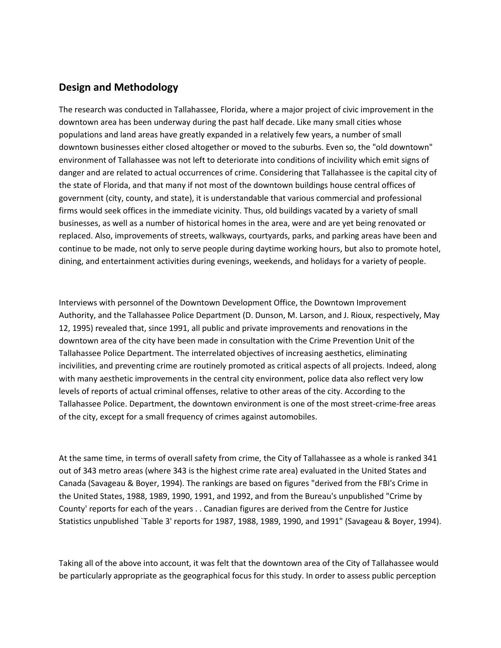### **Design and Methodology**

The research was conducted in Tallahassee, Florida, where a major project of civic improvement in the downtown area has been underway during the past half decade. Like many small cities whose populations and land areas have greatly expanded in a relatively few years, a number of small downtown businesses either closed altogether or moved to the suburbs. Even so, the "old downtown" environment of Tallahassee was not left to deteriorate into conditions of incivility which emit signs of danger and are related to actual occurrences of crime. Considering that Tallahassee is the capital city of the state of Florida, and that many if not most of the downtown buildings house central offices of government (city, county, and state), it is understandable that various commercial and professional firms would seek offices in the immediate vicinity. Thus, old buildings vacated by a variety of small businesses, as well as a number of historical homes in the area, were and are yet being renovated or replaced. Also, improvements of streets, walkways, courtyards, parks, and parking areas have been and continue to be made, not only to serve people during daytime working hours, but also to promote hotel, dining, and entertainment activities during evenings, weekends, and holidays for a variety of people.

Interviews with personnel of the Downtown Development Office, the Downtown Improvement Authority, and the Tallahassee Police Department (D. Dunson, M. Larson, and J. Rioux, respectively, May 12, 1995) revealed that, since 1991, all public and private improvements and renovations in the downtown area of the city have been made in consultation with the Crime Prevention Unit of the Tallahassee Police Department. The interrelated objectives of increasing aesthetics, eliminating incivilities, and preventing crime are routinely promoted as critical aspects of all projects. Indeed, along with many aesthetic improvements in the central city environment, police data also reflect very low levels of reports of actual criminal offenses, relative to other areas of the city. According to the Tallahassee Police. Department, the downtown environment is one of the most street-crime-free areas of the city, except for a small frequency of crimes against automobiles.

At the same time, in terms of overall safety from crime, the City of Tallahassee as a whole is ranked 341 out of 343 metro areas (where 343 is the highest crime rate area) evaluated in the United States and Canada (Savageau & Boyer, 1994). The rankings are based on figures "derived from the FBI's Crime in the United States, 1988, 1989, 1990, 1991, and 1992, and from the Bureau's unpublished "Crime by County' reports for each of the years . . Canadian figures are derived from the Centre for Justice Statistics unpublished `Table 3' reports for 1987, 1988, 1989, 1990, and 1991" (Savageau & Boyer, 1994).

Taking all of the above into account, it was felt that the downtown area of the City of Tallahassee would be particularly appropriate as the geographical focus for this study. In order to assess public perception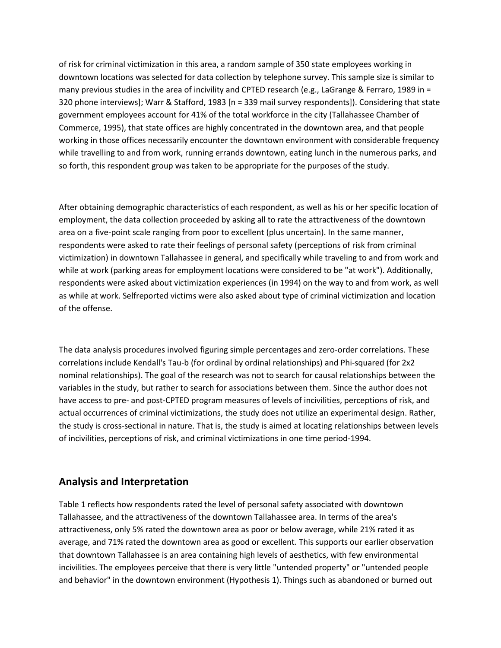of risk for criminal victimization in this area, a random sample of 350 state employees working in downtown locations was selected for data collection by telephone survey. This sample size is similar to many previous studies in the area of incivility and CPTED research (e.g., LaGrange & Ferraro, 1989 in = 320 phone interviews]; Warr & Stafford, 1983 [n = 339 mail survey respondents]). Considering that state government employees account for 41% of the total workforce in the city (Tallahassee Chamber of Commerce, 1995), that state offices are highly concentrated in the downtown area, and that people working in those offices necessarily encounter the downtown environment with considerable frequency while travelling to and from work, running errands downtown, eating lunch in the numerous parks, and so forth, this respondent group was taken to be appropriate for the purposes of the study.

After obtaining demographic characteristics of each respondent, as well as his or her specific location of employment, the data collection proceeded by asking all to rate the attractiveness of the downtown area on a five-point scale ranging from poor to excellent (plus uncertain). In the same manner, respondents were asked to rate their feelings of personal safety (perceptions of risk from criminal victimization) in downtown Tallahassee in general, and specifically while traveling to and from work and while at work (parking areas for employment locations were considered to be "at work"). Additionally, respondents were asked about victimization experiences (in 1994) on the way to and from work, as well as while at work. Selfreported victims were also asked about type of criminal victimization and location of the offense.

The data analysis procedures involved figuring simple percentages and zero-order correlations. These correlations include Kendall's Tau-b (for ordinal by ordinal relationships) and Phi-squared (for 2x2 nominal relationships). The goal of the research was not to search for causal relationships between the variables in the study, but rather to search for associations between them. Since the author does not have access to pre- and post-CPTED program measures of levels of incivilities, perceptions of risk, and actual occurrences of criminal victimizations, the study does not utilize an experimental design. Rather, the study is cross-sectional in nature. That is, the study is aimed at locating relationships between levels of incivilities, perceptions of risk, and criminal victimizations in one time period-1994.

### **Analysis and Interpretation**

Table 1 reflects how respondents rated the level of personal safety associated with downtown Tallahassee, and the attractiveness of the downtown Tallahassee area. In terms of the area's attractiveness, only 5% rated the downtown area as poor or below average, while 21% rated it as average, and 71% rated the downtown area as good or excellent. This supports our earlier observation that downtown Tallahassee is an area containing high levels of aesthetics, with few environmental incivilities. The employees perceive that there is very little "untended property" or "untended people and behavior" in the downtown environment (Hypothesis 1). Things such as abandoned or burned out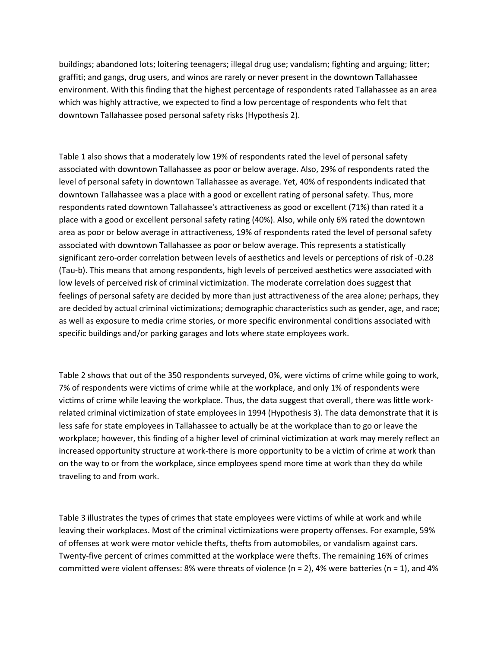buildings; abandoned lots; loitering teenagers; illegal drug use; vandalism; fighting and arguing; litter; graffiti; and gangs, drug users, and winos are rarely or never present in the downtown Tallahassee environment. With this finding that the highest percentage of respondents rated Tallahassee as an area which was highly attractive, we expected to find a low percentage of respondents who felt that downtown Tallahassee posed personal safety risks (Hypothesis 2).

Table 1 also shows that a moderately low 19% of respondents rated the level of personal safety associated with downtown Tallahassee as poor or below average. Also, 29% of respondents rated the level of personal safety in downtown Tallahassee as average. Yet, 40% of respondents indicated that downtown Tallahassee was a place with a good or excellent rating of personal safety. Thus, more respondents rated downtown Tallahassee's attractiveness as good or excellent (71%) than rated it a place with a good or excellent personal safety rating (40%). Also, while only 6% rated the downtown area as poor or below average in attractiveness, 19% of respondents rated the level of personal safety associated with downtown Tallahassee as poor or below average. This represents a statistically significant zero-order correlation between levels of aesthetics and levels or perceptions of risk of -0.28 (Tau-b). This means that among respondents, high levels of perceived aesthetics were associated with low levels of perceived risk of criminal victimization. The moderate correlation does suggest that feelings of personal safety are decided by more than just attractiveness of the area alone; perhaps, they are decided by actual criminal victimizations; demographic characteristics such as gender, age, and race; as well as exposure to media crime stories, or more specific environmental conditions associated with specific buildings and/or parking garages and lots where state employees work.

Table 2 shows that out of the 350 respondents surveyed, 0%, were victims of crime while going to work, 7% of respondents were victims of crime while at the workplace, and only 1% of respondents were victims of crime while leaving the workplace. Thus, the data suggest that overall, there was little workrelated criminal victimization of state employees in 1994 (Hypothesis 3). The data demonstrate that it is less safe for state employees in Tallahassee to actually be at the workplace than to go or leave the workplace; however, this finding of a higher level of criminal victimization at work may merely reflect an increased opportunity structure at work-there is more opportunity to be a victim of crime at work than on the way to or from the workplace, since employees spend more time at work than they do while traveling to and from work.

Table 3 illustrates the types of crimes that state employees were victims of while at work and while leaving their workplaces. Most of the criminal victimizations were property offenses. For example, 59% of offenses at work were motor vehicle thefts, thefts from automobiles, or vandalism against cars. Twenty-five percent of crimes committed at the workplace were thefts. The remaining 16% of crimes committed were violent offenses: 8% were threats of violence ( $n = 2$ ), 4% were batteries ( $n = 1$ ), and 4%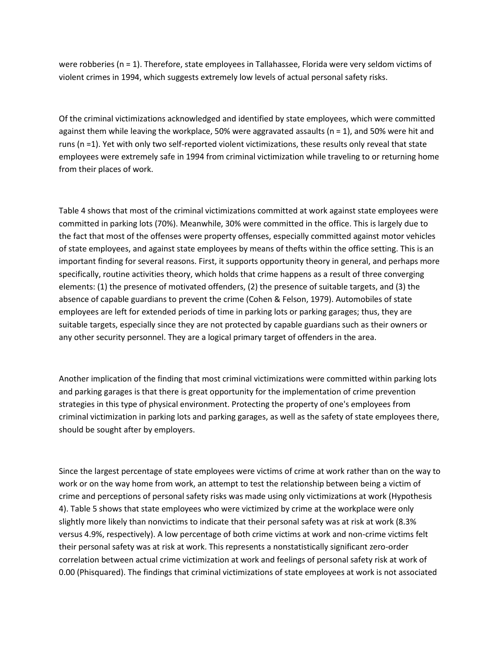were robberies (n = 1). Therefore, state employees in Tallahassee, Florida were very seldom victims of violent crimes in 1994, which suggests extremely low levels of actual personal safety risks.

Of the criminal victimizations acknowledged and identified by state employees, which were committed against them while leaving the workplace, 50% were aggravated assaults (n = 1), and 50% were hit and runs (n =1). Yet with only two self-reported violent victimizations, these results only reveal that state employees were extremely safe in 1994 from criminal victimization while traveling to or returning home from their places of work.

Table 4 shows that most of the criminal victimizations committed at work against state employees were committed in parking lots (70%). Meanwhile, 30% were committed in the office. This is largely due to the fact that most of the offenses were property offenses, especially committed against motor vehicles of state employees, and against state employees by means of thefts within the office setting. This is an important finding for several reasons. First, it supports opportunity theory in general, and perhaps more specifically, routine activities theory, which holds that crime happens as a result of three converging elements: (1) the presence of motivated offenders, (2) the presence of suitable targets, and (3) the absence of capable guardians to prevent the crime (Cohen & Felson, 1979). Automobiles of state employees are left for extended periods of time in parking lots or parking garages; thus, they are suitable targets, especially since they are not protected by capable guardians such as their owners or any other security personnel. They are a logical primary target of offenders in the area.

Another implication of the finding that most criminal victimizations were committed within parking lots and parking garages is that there is great opportunity for the implementation of crime prevention strategies in this type of physical environment. Protecting the property of one's employees from criminal victimization in parking lots and parking garages, as well as the safety of state employees there, should be sought after by employers.

Since the largest percentage of state employees were victims of crime at work rather than on the way to work or on the way home from work, an attempt to test the relationship between being a victim of crime and perceptions of personal safety risks was made using only victimizations at work (Hypothesis 4). Table 5 shows that state employees who were victimized by crime at the workplace were only slightly more likely than nonvictims to indicate that their personal safety was at risk at work (8.3% versus 4.9%, respectively). A low percentage of both crime victims at work and non-crime victims felt their personal safety was at risk at work. This represents a nonstatistically significant zero-order correlation between actual crime victimization at work and feelings of personal safety risk at work of 0.00 (Phisquared). The findings that criminal victimizations of state employees at work is not associated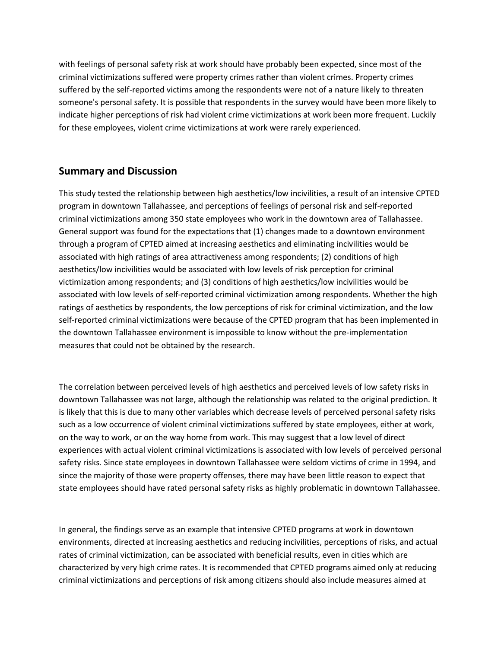with feelings of personal safety risk at work should have probably been expected, since most of the criminal victimizations suffered were property crimes rather than violent crimes. Property crimes suffered by the self-reported victims among the respondents were not of a nature likely to threaten someone's personal safety. It is possible that respondents in the survey would have been more likely to indicate higher perceptions of risk had violent crime victimizations at work been more frequent. Luckily for these employees, violent crime victimizations at work were rarely experienced.

### **Summary and Discussion**

This study tested the relationship between high aesthetics/low incivilities, a result of an intensive CPTED program in downtown Tallahassee, and perceptions of feelings of personal risk and self-reported criminal victimizations among 350 state employees who work in the downtown area of Tallahassee. General support was found for the expectations that (1) changes made to a downtown environment through a program of CPTED aimed at increasing aesthetics and eliminating incivilities would be associated with high ratings of area attractiveness among respondents; (2) conditions of high aesthetics/low incivilities would be associated with low levels of risk perception for criminal victimization among respondents; and (3) conditions of high aesthetics/low incivilities would be associated with low levels of self-reported criminal victimization among respondents. Whether the high ratings of aesthetics by respondents, the low perceptions of risk for criminal victimization, and the low self-reported criminal victimizations were because of the CPTED program that has been implemented in the downtown Tallahassee environment is impossible to know without the pre-implementation measures that could not be obtained by the research.

The correlation between perceived levels of high aesthetics and perceived levels of low safety risks in downtown Tallahassee was not large, although the relationship was related to the original prediction. It is likely that this is due to many other variables which decrease levels of perceived personal safety risks such as a low occurrence of violent criminal victimizations suffered by state employees, either at work, on the way to work, or on the way home from work. This may suggest that a low level of direct experiences with actual violent criminal victimizations is associated with low levels of perceived personal safety risks. Since state employees in downtown Tallahassee were seldom victims of crime in 1994, and since the majority of those were property offenses, there may have been little reason to expect that state employees should have rated personal safety risks as highly problematic in downtown Tallahassee.

In general, the findings serve as an example that intensive CPTED programs at work in downtown environments, directed at increasing aesthetics and reducing incivilities, perceptions of risks, and actual rates of criminal victimization, can be associated with beneficial results, even in cities which are characterized by very high crime rates. It is recommended that CPTED programs aimed only at reducing criminal victimizations and perceptions of risk among citizens should also include measures aimed at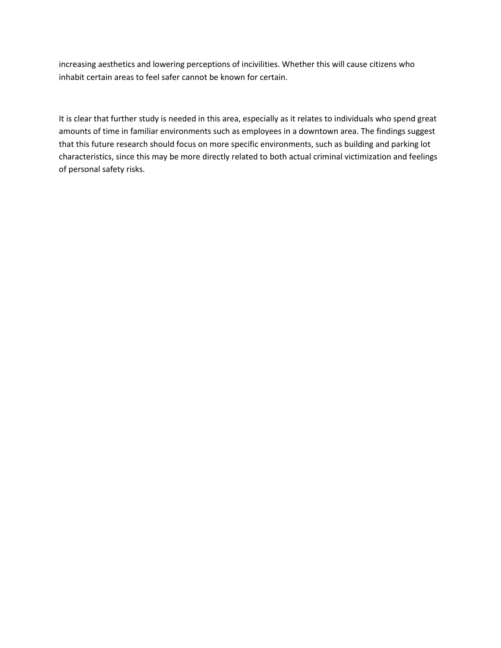increasing aesthetics and lowering perceptions of incivilities. Whether this will cause citizens who inhabit certain areas to feel safer cannot be known for certain.

It is clear that further study is needed in this area, especially as it relates to individuals who spend great amounts of time in familiar environments such as employees in a downtown area. The findings suggest that this future research should focus on more specific environments, such as building and parking lot characteristics, since this may be more directly related to both actual criminal victimization and feelings of personal safety risks.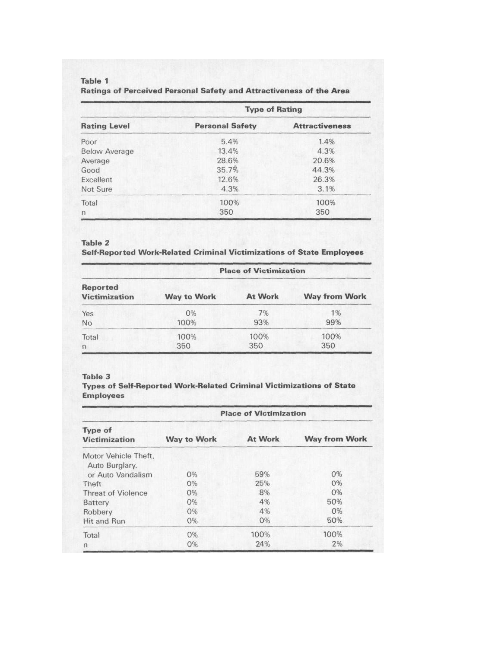#### Table 1 Ratings of Perceived Personal Safety and Attractiveness of the Area

| <b>Rating Level</b>  | <b>Type of Rating</b>  |                       |
|----------------------|------------------------|-----------------------|
|                      | <b>Personal Safety</b> | <b>Attractiveness</b> |
| Poor                 | 5.4%                   | 1.4%                  |
| <b>Below Average</b> | 13.4%                  | 4.3%                  |
| Average              | 28.6%                  | 20.6%                 |
| Good                 | 35.7%                  | 44.3%                 |
| Excellent            | 12.6%                  | 26.3%                 |
| Not Sure             | 4.3%                   | 3.1%                  |
| Total                | 100%                   | 100%                  |
| $\Gamma$             | 350                    | 350                   |

#### Table 2

Self-Reported Work-Related Criminal Victimizations of State Employees

| Reported<br><b>Victimization</b> | <b>Place of Victimization</b> |                |                      |  |
|----------------------------------|-------------------------------|----------------|----------------------|--|
|                                  | <b>Way to Work</b>            | <b>At Work</b> | <b>Way from Work</b> |  |
| Yes                              | 0%                            | 7%             | 1%                   |  |
| No                               | 100%                          | 93%            | 99%                  |  |
| Total                            | 100%                          | 100%           | 100%                 |  |
| $\Omega$                         | 350                           | 350            | 350                  |  |

#### Table 3

Types of Self-Reported Work-Related Criminal Victimizations of State **Employees** 

| <b>Type of</b><br><b>Victimization</b> | <b>Place of Victimization</b> |                |                      |
|----------------------------------------|-------------------------------|----------------|----------------------|
|                                        | <b>Way to Work</b>            | <b>At Work</b> | <b>Way from Work</b> |
| Motor Vehicle Theft,<br>Auto Burglary, |                               |                |                      |
| or Auto Vandalism                      | 0%                            | 59%            | 0%                   |
| Theft                                  | O%                            | 25%            | 0%                   |
| <b>Threat of Violence</b>              | 0%                            | 8%             | 0%                   |
| Battery                                | 0%                            | 4%             | 50%                  |
| Robbery                                | 0%                            | 4%             | O%                   |
| Hit and Run                            | $0\%$                         | O%             | 50%                  |
| Total                                  | $0\%$                         | 100%           | 100%                 |
| n                                      | O%                            | 24%            | 2%                   |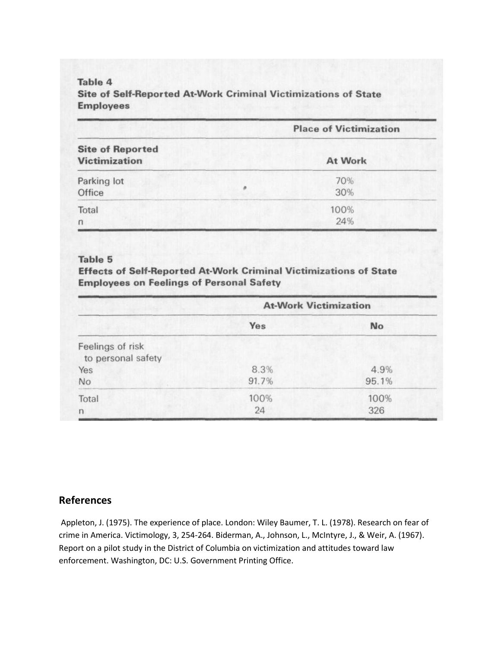### Table 4 Site of Self-Reported At-Work Criminal Victimizations of State **Employees**

|                                                 | <b>Place of Victimization</b> |         |
|-------------------------------------------------|-------------------------------|---------|
| <b>Site of Reported</b><br><b>Victimization</b> |                               | At Work |
|                                                 |                               |         |
| Parking lot                                     |                               | 70%     |
| Office                                          |                               | 30%     |
| Total                                           | 100%                          |         |
| $\eta$                                          | 24%                           |         |

#### Table 5

Effects of Self-Reported At-Work Criminal Victimizations of State **Employees on Feelings of Personal Safety** 

|                                        | <b>At-Work Victimization</b> |       |
|----------------------------------------|------------------------------|-------|
|                                        | Yes                          | No    |
| Feelings of risk<br>to personal safety |                              |       |
| Yes                                    | 8.3%                         | 4.9%  |
| No                                     | 91.7%                        | 95.1% |
| Total                                  | 100%                         | 100%  |
| n                                      | 24                           | 326   |

### **References**

Appleton, J. (1975). The experience of place. London: Wiley Baumer, T. L. (1978). Research on fear of crime in America. Victimology, 3, 254-264. Biderman, A., Johnson, L., McIntyre, J., & Weir, A. (1967). Report on a pilot study in the District of Columbia on victimization and attitudes toward law enforcement. Washington, DC: U.S. Government Printing Office.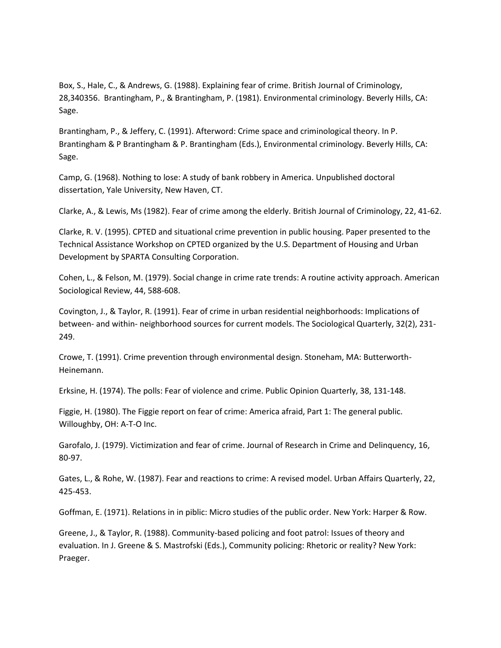Box, S., Hale, C., & Andrews, G. (1988). Explaining fear of crime. British Journal of Criminology, 28,340356. Brantingham, P., & Brantingham, P. (1981). Environmental criminology. Beverly Hills, CA: Sage.

Brantingham, P., & Jeffery, C. (1991). Afterword: Crime space and criminological theory. In P. Brantingham & P Brantingham & P. Brantingham (Eds.), Environmental criminology. Beverly Hills, CA: Sage.

Camp, G. (1968). Nothing to lose: A study of bank robbery in America. Unpublished doctoral dissertation, Yale University, New Haven, CT.

Clarke, A., & Lewis, Ms (1982). Fear of crime among the elderly. British Journal of Criminology, 22, 41-62.

Clarke, R. V. (1995). CPTED and situational crime prevention in public housing. Paper presented to the Technical Assistance Workshop on CPTED organized by the U.S. Department of Housing and Urban Development by SPARTA Consulting Corporation.

Cohen, L., & Felson, M. (1979). Social change in crime rate trends: A routine activity approach. American Sociological Review, 44, 588-608.

Covington, J., & Taylor, R. (1991). Fear of crime in urban residential neighborhoods: Implications of between- and within- neighborhood sources for current models. The Sociological Quarterly, 32(2), 231- 249.

Crowe, T. (1991). Crime prevention through environmental design. Stoneham, MA: Butterworth-Heinemann.

Erksine, H. (1974). The polls: Fear of violence and crime. Public Opinion Quarterly, 38, 131-148.

Figgie, H. (1980). The Figgie report on fear of crime: America afraid, Part 1: The general public. Willoughby, OH: A-T-O Inc.

Garofalo, J. (1979). Victimization and fear of crime. Journal of Research in Crime and Delinquency, 16, 80-97.

Gates, L., & Rohe, W. (1987). Fear and reactions to crime: A revised model. Urban Affairs Quarterly, 22, 425-453.

Goffman, E. (1971). Relations in in piblic: Micro studies of the public order. New York: Harper & Row.

Greene, J., & Taylor, R. (1988). Community-based policing and foot patrol: Issues of theory and evaluation. In J. Greene & S. Mastrofski (Eds.), Community policing: Rhetoric or reality? New York: Praeger.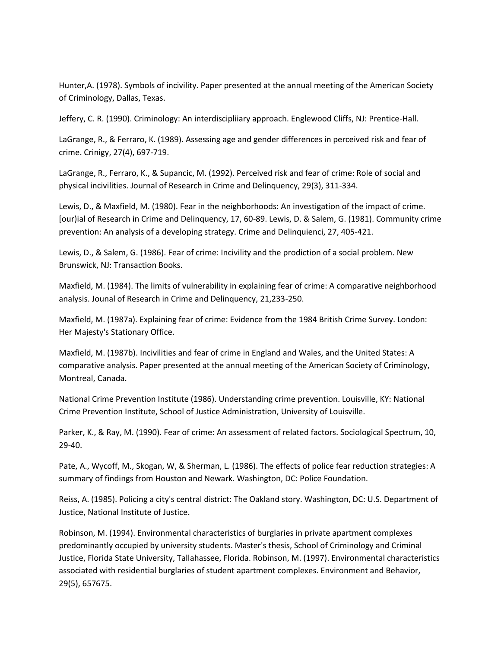Hunter,A. (1978). Symbols of incivility. Paper presented at the annual meeting of the American Society of Criminology, Dallas, Texas.

Jeffery, C. R. (1990). Criminology: An interdiscipliiary approach. Englewood Cliffs, NJ: Prentice-Hall.

LaGrange, R., & Ferraro, K. (1989). Assessing age and gender differences in perceived risk and fear of crime. Crinigy, 27(4), 697-719.

LaGrange, R., Ferraro, K., & Supancic, M. (1992). Perceived risk and fear of crime: Role of social and physical incivilities. Journal of Research in Crime and Delinquency, 29(3), 311-334.

Lewis, D., & Maxfield, M. (1980). Fear in the neighborhoods: An investigation of the impact of crime. [our)ial of Research in Crime and Delinquency, 17, 60-89. Lewis, D. & Salem, G. (1981). Community crime prevention: An analysis of a developing strategy. Crime and Delinquienci, 27, 405-421.

Lewis, D., & Salem, G. (1986). Fear of crime: Incivility and the prodiction of a social problem. New Brunswick, NJ: Transaction Books.

Maxfield, M. (1984). The limits of vulnerability in explaining fear of crime: A comparative neighborhood analysis. Jounal of Research in Crime and Delinquency, 21,233-250.

Maxfield, M. (1987a). Explaining fear of crime: Evidence from the 1984 British Crime Survey. London: Her Majesty's Stationary Office.

Maxfield, M. (1987b). Incivilities and fear of crime in England and Wales, and the United States: A comparative analysis. Paper presented at the annual meeting of the American Society of Criminology, Montreal, Canada.

National Crime Prevention Institute (1986). Understanding crime prevention. Louisville, KY: National Crime Prevention Institute, School of Justice Administration, University of Louisville.

Parker, K., & Ray, M. (1990). Fear of crime: An assessment of related factors. Sociological Spectrum, 10, 29-40.

Pate, A., Wycoff, M., Skogan, W, & Sherman, L. (1986). The effects of police fear reduction strategies: A summary of findings from Houston and Newark. Washington, DC: Police Foundation.

Reiss, A. (1985). Policing a city's central district: The Oakland story. Washington, DC: U.S. Department of Justice, National Institute of Justice.

Robinson, M. (1994). Environmental characteristics of burglaries in private apartment complexes predominantly occupied by university students. Master's thesis, School of Criminology and Criminal Justice, Florida State University, Tallahassee, Florida. Robinson, M. (1997). Environmental characteristics associated with residential burglaries of student apartment complexes. Environment and Behavior, 29(5), 657675.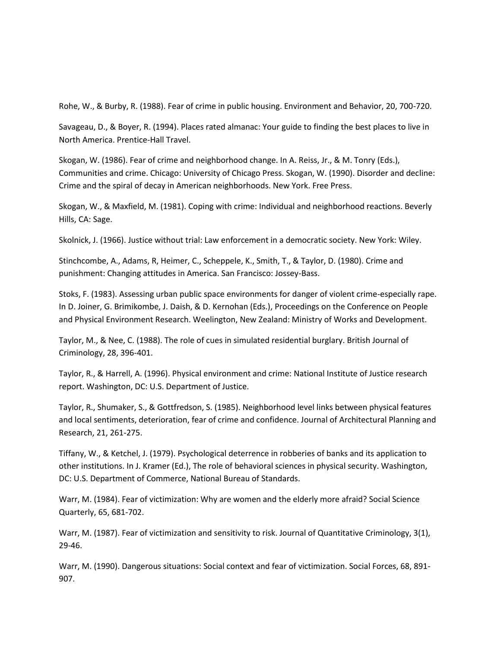Rohe, W., & Burby, R. (1988). Fear of crime in public housing. Environment and Behavior, 20, 700-720.

Savageau, D., & Boyer, R. (1994). Places rated almanac: Your guide to finding the best places to live in North America. Prentice-Hall Travel.

Skogan, W. (1986). Fear of crime and neighborhood change. In A. Reiss, Jr., & M. Tonry (Eds.), Communities and crime. Chicago: University of Chicago Press. Skogan, W. (1990). Disorder and decline: Crime and the spiral of decay in American neighborhoods. New York. Free Press.

Skogan, W., & Maxfield, M. (1981). Coping with crime: Individual and neighborhood reactions. Beverly Hills, CA: Sage.

Skolnick, J. (1966). Justice without trial: Law enforcement in a democratic society. New York: Wiley.

Stinchcombe, A., Adams, R, Heimer, C., Scheppele, K., Smith, T., & Taylor, D. (1980). Crime and punishment: Changing attitudes in America. San Francisco: Jossey-Bass.

Stoks, F. (1983). Assessing urban public space environments for danger of violent crime-especially rape. In D. Joiner, G. Brimikombe, J. Daish, & D. Kernohan (Eds.), Proceedings on the Conference on People and Physical Environment Research. Weelington, New Zealand: Ministry of Works and Development.

Taylor, M., & Nee, C. (1988). The role of cues in simulated residential burglary. British Journal of Criminology, 28, 396-401.

Taylor, R., & Harrell, A. (1996). Physical environment and crime: National Institute of Justice research report. Washington, DC: U.S. Department of Justice.

Taylor, R., Shumaker, S., & Gottfredson, S. (1985). Neighborhood level links between physical features and local sentiments, deterioration, fear of crime and confidence. Journal of Architectural Planning and Research, 21, 261-275.

Tiffany, W., & Ketchel, J. (1979). Psychological deterrence in robberies of banks and its application to other institutions. In J. Kramer (Ed.), The role of behavioral sciences in physical security. Washington, DC: U.S. Department of Commerce, National Bureau of Standards.

Warr, M. (1984). Fear of victimization: Why are women and the elderly more afraid? Social Science Quarterly, 65, 681-702.

Warr, M. (1987). Fear of victimization and sensitivity to risk. Journal of Quantitative Criminology, 3(1), 29-46.

Warr, M. (1990). Dangerous situations: Social context and fear of victimization. Social Forces, 68, 891- 907.